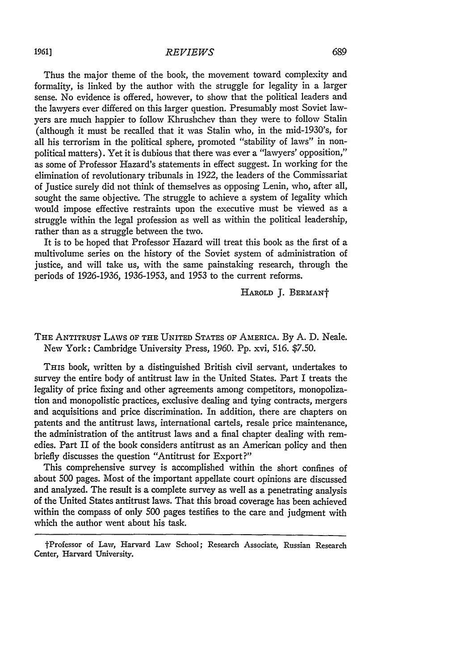## *REVIEWS*

Thus the major theme of the book, the movement toward complexity and formality, is linked by the author with the struggle for legality in a larger sense. No evidence is offered, however, to show that the political leaders and the lawyers ever differed on this larger question. Presumably most Soviet lawyers are much happier to follow Khrushchev than they were to follow Stalin (although it must be recalled that it was Stalin who, in the mid-1930's, for all his terrorism in the political sphere, promoted "stability of laws" in nonpolitical matters). Yet it is dubious that there was ever a "lawyers' opposition," as some of Professor Hazard's statements in effect suggest. In working for the elimination of revolutionary tribunals in 1922, the leaders of the Commissariat of Justice surely did not think of themselves as opposing Lenin, who, after all, sought the same objective. The struggle to achieve a system of legality which would impose effective restraints upon the executive must be viewed as a struggle within the legal profession as well as within the political leadership, rather than as a struggle between the two.

It is to be hoped that Professor Hazard will treat this book as the first of a multivolume series on the history of the Soviet system of administration of justice, and will take us, with the same painstaking research, through the periods of 1926-1936, 1936-1953, and 1953 to the current reforms.

HAROLD J. BERMANT

## **THE ANTITRUST** LAWS OF **THE** UNITED **STATES** OF AMERICA. By A. D. Neale. New York: Cambridge University Press, 1960. Pp. xvi, 516. \$7.50.

THIS book, written by a distinguished British civil servant, undertakes to survey the entire body of antitrust law in the United States. Part I treats the legality of price fixing and other agreements among competitors, monopolization and monopolistic practices, exclusive dealing and tying contracts, mergers and acquisitions and price discrimination. In addition, there are chapters on patents and the antitrust laws, international cartels, resale price maintenance, the administration of the antitrust laws and a final chapter dealing with remedies. Part II of the book considers antitrust as an American policy and then briefly discusses the question "Antitrust for Export?"

This comprehensive survey is accomplished within the short confines of about 500 pages. Most of the important appellate court opinions are discussed and analyzed. The result is a complete survey as well as a penetrating analysis of the United States antitrust laws. That this broad coverage has been achieved within the compass of only 500 pages testifies to the care and judgment with which the author went about his task.

**1961]**

tProfessor of Law, Harvard Law School; Research Associate, Russian Research Center, Harvard University.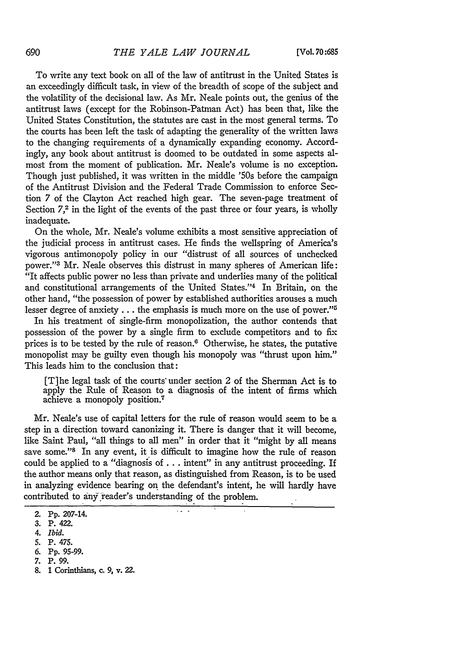To write any text book on all of the law of antitrust in the United States is an exceedingly difficult task, in view of the breadth of scope of the subject and the volatility of the decisional law. As Mr. Neale points out, the genius of the antitrust laws (except for the Robinson-Patman Act) has been that, like the United States Constitution, the statutes are cast in the most general terms. To the courts has been left the task of adapting the generality of the written laws to the changing requirements of a dynamically expanding economy. Accordingly, any book about antitrust is doomed to be outdated in some aspects almost from the moment of publication. Mr. Neale's volume is no exception. Though just published, it was written in the middle '50s before the campaign of the Antitrust Division and the Federal Trade Commission to enforce Section 7 of the Clayton Act reached high gear. The seven-page treatment of Section **7,2** in the light of the events of the past three or four years, is wholly inadequate.

On the whole, Mr. Neale's volume exhibits a most sensitive appreciation of the judicial process in antitrust cases. He finds the wellspring of America's vigorous antimonopoly policy in our "distrust of all sources of unchecked power."<sup>3</sup> Mr. Neale observes this distrust in many spheres of American life: "It affects public power no less than private and underlies many of the political and constitutional arrangements of the United States."4 In Britain, on the other hand, "the possession of power by established authorities arouses a much lesser degree of anxiety **...** the emphasis is much more on the use of power."5

In his treatment of single-firm monopolization, the author contends that possession of the power by a single firm to exclude competitors and to fix prices is to be tested by the rule of reason.<sup>6</sup> Otherwise, he states, the putative monopolist may be guilty even though his monopoly was "thrust upon him." This leads him to the conclusion that:

[T]he legal task of the courts'under section 2 of the Sherman Act is to apply the Rule of Reason to a diagnosis of the intent of firms which achieve a monopoly position.7

Mr. Neale's use of capital letters for the rule of reason would seem to be a step in a direction toward canonizing it. There is danger that it will become, like Saint Paul, "all things to all men" in order that it "might by all means save some."8 In any event, it is difficult to imagine how the rule of reason could be applied to a "diagnosis of **...** intent" in any antitrust proceeding. If the author means only that reason, as distinguished from Reason, is to be used in analyzing evidence bearing on the defendant's intent, he will hardly have contributed to any reader's understanding of the problem.

<del>. . .</del>

<sup>2.</sup> **Pp.** 207-14.

<sup>3.</sup> P. 422.

<sup>4.</sup> *Ibid.*

*<sup>5.</sup>* P. 475.

**<sup>6.</sup> Pp. 95-99.**

**<sup>7.</sup>** P. **99.**

<sup>8.</sup> **1** Corinthians, c. 9, v. 22.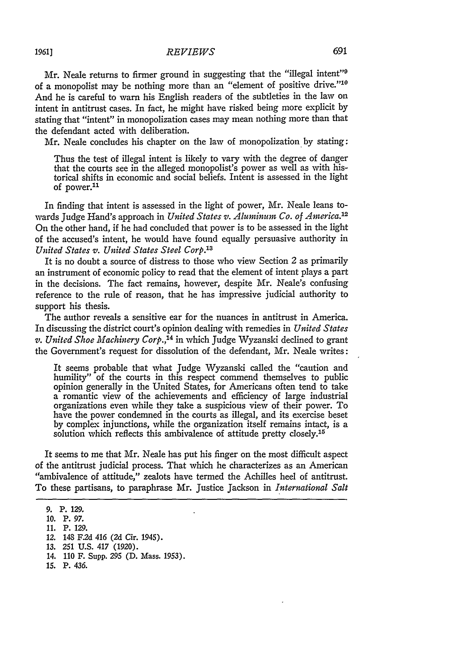Mr. Neale returns to firmer ground in suggesting that the "illegal intent"9 of a monopolist may be nothing more than an "element of positive drive."'<sup>10</sup> And he is careful to warn his English readers of the subtleties in the law on intent in antitrust cases. In fact, he might have risked being more explicit by stating that "intent" in monopolization cases may mean nothing more than that the defendant acted with deliberation.

Mr. Neale concludes his chapter on the law of monopolization by stating:

Thus the test of illegal intent is likely to vary with the degree of danger that the courts see in the alleged monopolist's power as well as with historical shifts in economic and social beliefs. Intent is assessed in the light of power.<sup>11</sup>

In finding that intent is assessed in the light of power, Mr. Neale leans towards Judge Hand's approach in *United States v. Aluminum Co. of America.12* On the other hand, if he had concluded that power is to be assessed in the light of the accused's intent, he would have found equally persuasive authority in *United States v. United States Steel Corp.'3*

It is no doubt a source of distress to those who view Section 2 as primarily an instrument of economic policy to read that the element of intent plays a part in the decisions. The fact remains, however, despite Mr. Neale's confusing reference to the rule of reason, that he has impressive judicial authority to support his thesis.

The author reveals a sensitive ear for the nuances in antitrust in America. In discussing the district court's opinion dealing with remedies in *United States v. United Shoe Machinery Corp.,14* in which Judge Wyzanski declined to grant the Government's request for dissolution of the defendant, Mr. Neale writes:

It seems probable that what Judge Wyzanski called the "caution and humility" of the courts in this respect commend themselves to public opinion generally in the United States, for Americans often tend to take a romantic view of the achievements and efficiency of large industrial organizations even while they take a suspicious view of their power. To have the power condemned in the courts as illegal, and its exercise beset **by** complex injunctions, while the organization itself remains intact, is a solution which reflects this ambivalence of attitude pretty closely.<sup>15</sup>

It seems to me that Mr. Neale has put his finger on the most difficult aspect of the antitrust judicial process. That which he characterizes as an American "ambivalence of attitude," zealots have termed the Achilles heel of antitrust. To these partisans, to paraphrase Mr. Justice Jackson in *International Salt*

12. 148 F2d 416 *(2d* Cir. 1945).

<sup>9.</sup> P. 129.

**<sup>10.</sup>** P. 97.

<sup>11.</sup> P. 129.

<sup>13. 251</sup> U.S. 417 (1920).

<sup>14. 110</sup> F. Supp. *295* (D. Mass. 1953).

**<sup>15.</sup>** P. *436.*